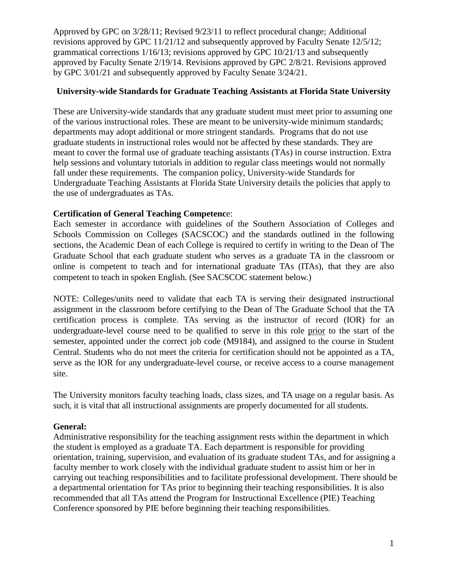#### **University-wide Standards for Graduate Teaching Assistants at Florida State University**

These are University-wide standards that any graduate student must meet prior to assuming one of the various instructional roles. These are meant to be university-wide minimum standards; departments may adopt additional or more stringent standards. Programs that do not use graduate students in instructional roles would not be affected by these standards. They are meant to cover the formal use of graduate teaching assistants (TAs) in course instruction. Extra help sessions and voluntary tutorials in addition to regular class meetings would not normally fall under these requirements. The companion policy, University-wide Standards for Undergraduate Teaching Assistants at Florida State University details the policies that apply to the use of undergraduates as TAs.

### **Certification of General Teaching Competenc**e:

Each semester in accordance with guidelines of the Southern Association of Colleges and Schools Commission on Colleges (SACSCOC) and the standards outlined in the following sections, the Academic Dean of each College is required to certify in writing to the Dean of The Graduate School that each graduate student who serves as a graduate TA in the classroom or online is competent to teach and for international graduate TAs (ITAs), that they are also competent to teach in spoken English. (See SACSCOC statement below.)

NOTE: Colleges/units need to validate that each TA is serving their designated instructional assignment in the classroom before certifying to the Dean of The Graduate School that the TA certification process is complete. TAs serving as the instructor of record (IOR) for an undergraduate-level course need to be qualified to serve in this role prior to the start of the semester, appointed under the correct job code (M9184), and assigned to the course in Student Central. Students who do not meet the criteria for certification should not be appointed as a TA, serve as the IOR for any undergraduate-level course, or receive access to a course management site.

The University monitors faculty teaching loads, class sizes, and TA usage on a regular basis. As such, it is vital that all instructional assignments are properly documented for all students.

### **General:**

Administrative responsibility for the teaching assignment rests within the department in which the student is employed as a graduate TA. Each department is responsible for providing orientation, training, supervision, and evaluation of its graduate student TAs, and for assigning a faculty member to work closely with the individual graduate student to assist him or her in carrying out teaching responsibilities and to facilitate professional development. There should be a departmental orientation for TAs prior to beginning their teaching responsibilities. It is also recommended that all TAs attend the Program for Instructional Excellence (PIE) Teaching Conference sponsored by PIE before beginning their teaching responsibilities.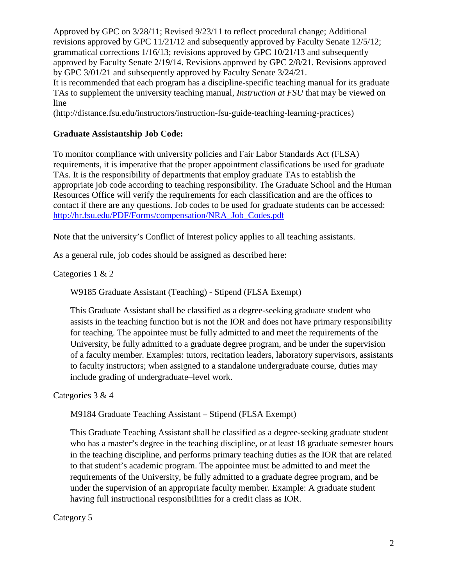It is recommended that each program has a discipline-specific teaching manual for its graduate TAs to supplement the university teaching manual, *Instruction at FSU* that may be viewed on line

(http://distance.fsu.edu/instructors/instruction-fsu-guide-teaching-learning-practices)

### **Graduate Assistantship Job Code:**

To monitor compliance with university policies and Fair Labor Standards Act (FLSA) requirements, it is imperative that the proper appointment classifications be used for graduate TAs. It is the responsibility of departments that employ graduate TAs to establish the appropriate job code according to teaching responsibility. The Graduate School and the Human Resources Office will verify the requirements for each classification and are the offices to contact if there are any questions. Job codes to be used for graduate students can be accessed: [http://hr.fsu.edu/PDF/Forms/compensation/NRA\\_Job\\_Codes.pdf](http://hr.fsu.edu/PDF/Forms/compensation/NRA_Job_Codes.pdf)

Note that the university's Conflict of Interest policy applies to all teaching assistants.

As a general rule, job codes should be assigned as described here:

Categories 1 & 2

W9185 Graduate Assistant (Teaching) - Stipend (FLSA Exempt)

This Graduate Assistant shall be classified as a degree-seeking graduate student who assists in the teaching function but is not the IOR and does not have primary responsibility for teaching. The appointee must be fully admitted to and meet the requirements of the University, be fully admitted to a graduate degree program, and be under the supervision of a faculty member. Examples: tutors, recitation leaders, laboratory supervisors, assistants to faculty instructors; when assigned to a standalone undergraduate course, duties may include grading of undergraduate–level work.

Categories 3 & 4

M9184 Graduate Teaching Assistant – Stipend (FLSA Exempt)

This Graduate Teaching Assistant shall be classified as a degree-seeking graduate student who has a master's degree in the teaching discipline, or at least 18 graduate semester hours in the teaching discipline, and performs primary teaching duties as the IOR that are related to that student's academic program. The appointee must be admitted to and meet the requirements of the University, be fully admitted to a graduate degree program, and be under the supervision of an appropriate faculty member. Example: A graduate student having full instructional responsibilities for a credit class as IOR.

Category 5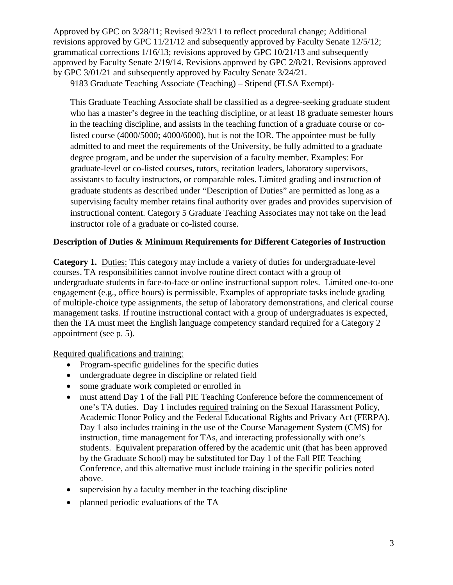9183 Graduate Teaching Associate (Teaching) – Stipend (FLSA Exempt)-

This Graduate Teaching Associate shall be classified as a degree-seeking graduate student who has a master's degree in the teaching discipline, or at least 18 graduate semester hours in the teaching discipline, and assists in the teaching function of a graduate course or colisted course (4000/5000; 4000/6000), but is not the IOR. The appointee must be fully admitted to and meet the requirements of the University, be fully admitted to a graduate degree program, and be under the supervision of a faculty member. Examples: For graduate-level or co-listed courses, tutors, recitation leaders, laboratory supervisors, assistants to faculty instructors, or comparable roles. Limited grading and instruction of graduate students as described under "Description of Duties" are permitted as long as a supervising faculty member retains final authority over grades and provides supervision of instructional content. Category 5 Graduate Teaching Associates may not take on the lead instructor role of a graduate or co-listed course.

### **Description of Duties & Minimum Requirements for Different Categories of Instruction**

**Category 1.** Duties: This category may include a variety of duties for undergraduate-level courses. TA responsibilities cannot involve routine direct contact with a group of undergraduate students in face-to-face or online instructional support roles. Limited one-to-one engagement (e.g., office hours) is permissible. Examples of appropriate tasks include grading of multiple-choice type assignments, the setup of laboratory demonstrations, and clerical course management tasks. If routine instructional contact with a group of undergraduates is expected, then the TA must meet the English language competency standard required for a Category 2 appointment (see p. 5).

Required qualifications and training:

- Program-specific guidelines for the specific duties
- undergraduate degree in discipline or related field
- some graduate work completed or enrolled in
- must attend Day 1 of the Fall PIE Teaching Conference before the commencement of one's TA duties. Day 1 includes required training on the Sexual Harassment Policy, Academic Honor Policy and the Federal Educational Rights and Privacy Act (FERPA). Day 1 also includes training in the use of the Course Management System (CMS) for instruction, time management for TAs, and interacting professionally with one's students. Equivalent preparation offered by the academic unit (that has been approved by the Graduate School) may be substituted for Day 1 of the Fall PIE Teaching Conference, and this alternative must include training in the specific policies noted above.
- supervision by a faculty member in the teaching discipline
- planned periodic evaluations of the TA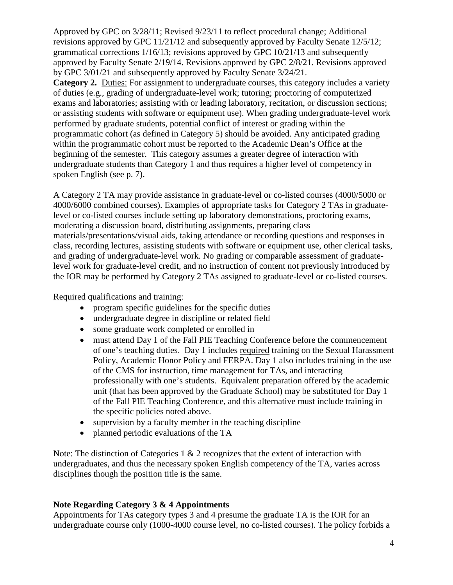**Category 2.** Duties: For assignment to undergraduate courses, this category includes a variety of duties (e.g., grading of undergraduate-level work; tutoring; proctoring of computerized exams and laboratories; assisting with or leading laboratory, recitation, or discussion sections; or assisting students with software or equipment use). When grading undergraduate-level work performed by graduate students, potential conflict of interest or grading within the programmatic cohort (as defined in Category 5) should be avoided. Any anticipated grading within the programmatic cohort must be reported to the Academic Dean's Office at the beginning of the semester. This category assumes a greater degree of interaction with undergraduate students than Category 1 and thus requires a higher level of competency in spoken English (see p. 7).

A Category 2 TA may provide assistance in graduate-level or co-listed courses (4000/5000 or 4000/6000 combined courses). Examples of appropriate tasks for Category 2 TAs in graduatelevel or co-listed courses include setting up laboratory demonstrations, proctoring exams, moderating a discussion board, distributing assignments, preparing class materials/presentations/visual aids, taking attendance or recording questions and responses in class, recording lectures, assisting students with software or equipment use, other clerical tasks, and grading of undergraduate-level work. No grading or comparable assessment of graduatelevel work for graduate-level credit, and no instruction of content not previously introduced by the IOR may be performed by Category 2 TAs assigned to graduate-level or co-listed courses.

#### Required qualifications and training:

- program specific guidelines for the specific duties
- undergraduate degree in discipline or related field
- some graduate work completed or enrolled in
- must attend Day 1 of the Fall PIE Teaching Conference before the commencement of one's teaching duties. Day 1 includes required training on the Sexual Harassment Policy, Academic Honor Policy and FERPA. Day 1 also includes training in the use of the CMS for instruction, time management for TAs, and interacting professionally with one's students. Equivalent preparation offered by the academic unit (that has been approved by the Graduate School) may be substituted for Day 1 of the Fall PIE Teaching Conference, and this alternative must include training in the specific policies noted above.
- supervision by a faculty member in the teaching discipline
- planned periodic evaluations of the TA

Note: The distinction of Categories 1  $\&$  2 recognizes that the extent of interaction with undergraduates, and thus the necessary spoken English competency of the TA, varies across disciplines though the position title is the same.

### **Note Regarding Category 3 & 4 Appointments**

Appointments for TAs category types 3 and 4 presume the graduate TA is the IOR for an undergraduate course only (1000-4000 course level, no co-listed courses). The policy forbids a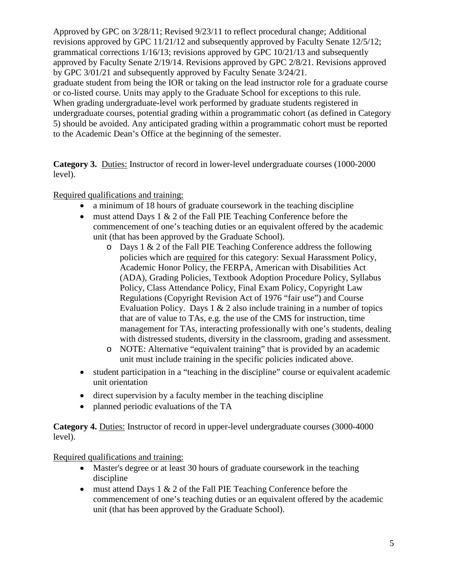Approved by GPC on 3/28/11; Revised 9/23/11 to reflect procedural change; Additional revisions approved by GPC 11/21/12 and subsequently approved by Faculty Senate 12/5/12; grammatical corrections 1/16/13; revisions approved by GPC 10/21/13 and subsequently approved by Faculty Senate 2/19/14. Revisions approved by GPC 2/8/21. Revisions approved by GPC 3/01/21 and subsequently approved by Faculty Senate 3/24/21. graduate student from being the IOR or taking on the lead instructor role for a graduate course or co-listed course. Units may apply to the Graduate School for exceptions to this rule. When grading undergraduate-level work performed by graduate students registered in undergraduate courses, potential grading within a programmatic cohort (as defined in Category 5) should be avoided. Any anticipated grading within a programmatic cohort must be reported to the Academic Dean's Office at the beginning of the semester.

**Category 3.** Duties: Instructor of record in lower-level undergraduate courses (1000-2000 level).

## Required qualifications and training:

- a minimum of 18 hours of graduate coursework in the teaching discipline
- must attend Days 1 & 2 of the Fall PIE Teaching Conference before the commencement of one's teaching duties or an equivalent offered by the academic unit (that has been approved by the Graduate School).
	- $\circ$  Days 1 & 2 of the Fall PIE Teaching Conference address the following policies which are required for this category: Sexual Harassment Policy, Academic Honor Policy, the FERPA, American with Disabilities Act (ADA), Grading Policies, Textbook Adoption Procedure Policy, Syllabus Policy, Class Attendance Policy, Final Exam Policy, Copyright Law Regulations (Copyright Revision Act of 1976 "fair use") and Course Evaluation Policy. Days 1 & 2 also include training in a number of topics that are of value to TAs, e.g. the use of the CMS for instruction, time management for TAs, interacting professionally with one's students, dealing with distressed students, diversity in the classroom, grading and assessment.
	- o NOTE: Alternative "equivalent training" that is provided by an academic unit must include training in the specific policies indicated above.
- student participation in a "teaching in the discipline" course or equivalent academic unit orientation
- direct supervision by a faculty member in the teaching discipline
- planned periodic evaluations of the TA

**Category 4.** Duties: Instructor of record in upper-level undergraduate courses (3000-4000 level).

Required qualifications and training:

- Master's degree or at least 30 hours of graduate coursework in the teaching discipline
- must attend Days 1 & 2 of the Fall PIE Teaching Conference before the commencement of one's teaching duties or an equivalent offered by the academic unit (that has been approved by the Graduate School).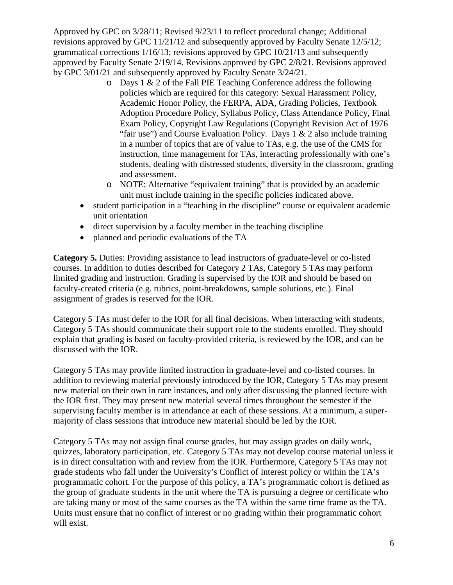- $\circ$  Days 1 & 2 of the Fall PIE Teaching Conference address the following policies which are required for this category: Sexual Harassment Policy, Academic Honor Policy, the FERPA, ADA, Grading Policies, Textbook Adoption Procedure Policy, Syllabus Policy, Class Attendance Policy, Final Exam Policy, Copyright Law Regulations (Copyright Revision Act of 1976 "fair use") and Course Evaluation Policy. Days  $1 \& 2$  also include training in a number of topics that are of value to TAs, e.g. the use of the CMS for instruction, time management for TAs, interacting professionally with one's students, dealing with distressed students, diversity in the classroom, grading and assessment.
- o NOTE: Alternative "equivalent training" that is provided by an academic unit must include training in the specific policies indicated above.
- student participation in a "teaching in the discipline" course or equivalent academic unit orientation
- direct supervision by a faculty member in the teaching discipline
- planned and periodic evaluations of the TA

**Category 5.** Duties: Providing assistance to lead instructors of graduate-level or co-listed courses. In addition to duties described for Category 2 TAs, Category 5 TAs may perform limited grading and instruction. Grading is supervised by the IOR and should be based on faculty-created criteria (e.g. rubrics, point-breakdowns, sample solutions, etc.). Final assignment of grades is reserved for the IOR.

Category 5 TAs must defer to the IOR for all final decisions. When interacting with students, Category 5 TAs should communicate their support role to the students enrolled. They should explain that grading is based on faculty-provided criteria, is reviewed by the IOR, and can be discussed with the IOR.

Category 5 TAs may provide limited instruction in graduate-level and co-listed courses. In addition to reviewing material previously introduced by the IOR, Category 5 TAs may present new material on their own in rare instances, and only after discussing the planned lecture with the IOR first. They may present new material several times throughout the semester if the supervising faculty member is in attendance at each of these sessions. At a minimum, a supermajority of class sessions that introduce new material should be led by the IOR.

Category 5 TAs may not assign final course grades, but may assign grades on daily work, quizzes, laboratory participation, etc. Category 5 TAs may not develop course material unless it is in direct consultation with and review from the IOR. Furthermore, Category 5 TAs may not grade students who fall under the University's Conflict of Interest policy or within the TA's programmatic cohort. For the purpose of this policy, a TA's programmatic cohort is defined as the group of graduate students in the unit where the TA is pursuing a degree or certificate who are taking many or most of the same courses as the TA within the same time frame as the TA. Units must ensure that no conflict of interest or no grading within their programmatic cohort will exist.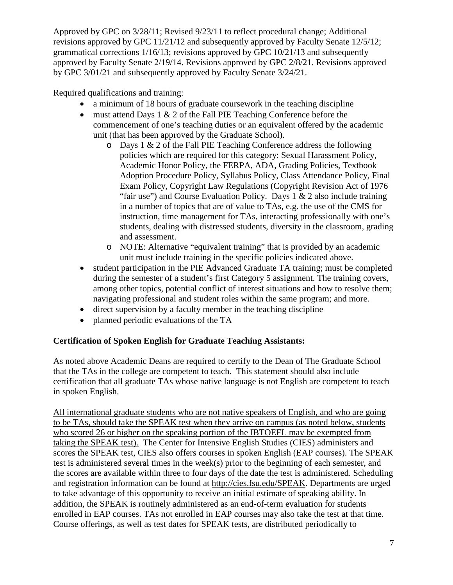# Required qualifications and training:

- a minimum of 18 hours of graduate coursework in the teaching discipline
- must attend Days 1 & 2 of the Fall PIE Teaching Conference before the commencement of one's teaching duties or an equivalent offered by the academic unit (that has been approved by the Graduate School).
	- $\circ$  Days 1 & 2 of the Fall PIE Teaching Conference address the following policies which are required for this category: Sexual Harassment Policy, Academic Honor Policy, the FERPA, ADA, Grading Policies, Textbook Adoption Procedure Policy, Syllabus Policy, Class Attendance Policy, Final Exam Policy, Copyright Law Regulations (Copyright Revision Act of 1976 "fair use") and Course Evaluation Policy. Days  $1 \& 2$  also include training in a number of topics that are of value to TAs, e.g. the use of the CMS for instruction, time management for TAs, interacting professionally with one's students, dealing with distressed students, diversity in the classroom, grading and assessment.
	- o NOTE: Alternative "equivalent training" that is provided by an academic unit must include training in the specific policies indicated above.
- student participation in the PIE Advanced Graduate TA training; must be completed during the semester of a student's first Category 5 assignment. The training covers, among other topics, potential conflict of interest situations and how to resolve them; navigating professional and student roles within the same program; and more.
- direct supervision by a faculty member in the teaching discipline
- planned periodic evaluations of the TA

### **Certification of Spoken English for Graduate Teaching Assistants:**

As noted above Academic Deans are required to certify to the Dean of The Graduate School that the TAs in the college are competent to teach. This statement should also include certification that all graduate TAs whose native language is not English are competent to teach in spoken English.

All international graduate students who are not native speakers of English, and who are going to be TAs, should take the SPEAK test when they arrive on campus (as noted below, students who scored 26 or higher on the speaking portion of the IBTOEFL may be exempted from taking the SPEAK test). The Center for Intensive English Studies (CIES) administers and scores the SPEAK test, CIES also offers courses in spoken English (EAP courses). The SPEAK test is administered several times in the week(s) prior to the beginning of each semester, and the scores are available within three to four days of the date the test is administered. Scheduling and registration information can be found at [http://cies.fsu.edu/SPEAK.](http://cies.fsu.edu/SPEAK) Departments are urged to take advantage of this opportunity to receive an initial estimate of speaking ability. In addition, the SPEAK is routinely administered as an end-of-term evaluation for students enrolled in EAP courses. TAs not enrolled in EAP courses may also take the test at that time. Course offerings, as well as test dates for SPEAK tests, are distributed periodically to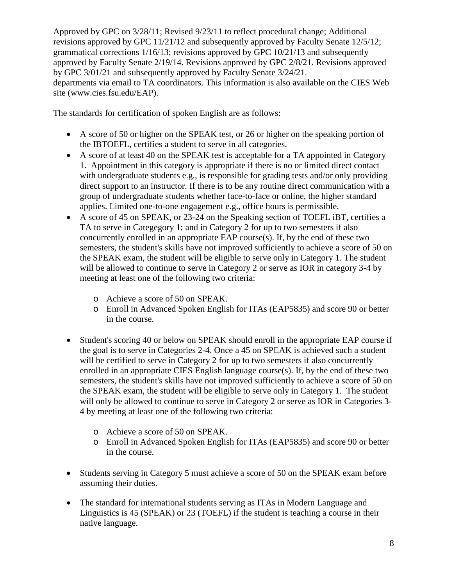Approved by GPC on 3/28/11; Revised 9/23/11 to reflect procedural change; Additional revisions approved by GPC 11/21/12 and subsequently approved by Faculty Senate 12/5/12; grammatical corrections 1/16/13; revisions approved by GPC 10/21/13 and subsequently approved by Faculty Senate 2/19/14. Revisions approved by GPC 2/8/21. Revisions approved by GPC 3/01/21 and subsequently approved by Faculty Senate 3/24/21. departments via email to TA coordinators. This information is also available on the CIES Web site (www.cies.fsu.edu/EAP).

The standards for certification of spoken English are as follows:

- A score of 50 or higher on the SPEAK test, or 26 or higher on the speaking portion of the IBTOEFL, certifies a student to serve in all categories.
- A score of at least 40 on the SPEAK test is acceptable for a TA appointed in Category 1. Appointment in this category is appropriate if there is no or limited direct contact with undergraduate students e.g., is responsible for grading tests and/or only providing direct support to an instructor. If there is to be any routine direct communication with a group of undergraduate students whether face-to-face or online, the higher standard applies. Limited one-to-one engagement e.g., office hours is permissible.
- A score of 45 on SPEAK, or 23-24 on the Speaking section of TOEFL iBT, certifies a TA to serve in Categegory 1; and in Category 2 for up to two semesters if also concurrently enrolled in an appropriate EAP course(s). If, by the end of these two semesters, the student's skills have not improved sufficiently to achieve a score of 50 on the SPEAK exam, the student will be eligible to serve only in Category 1. The student will be allowed to continue to serve in Category 2 or serve as IOR in category 3-4 by meeting at least one of the following two criteria:
	- o Achieve a score of 50 on SPEAK.
	- o Enroll in Advanced Spoken English for ITAs (EAP5835) and score 90 or better in the course.
- Student's scoring 40 or below on SPEAK should enroll in the appropriate EAP course if the goal is to serve in Categories 2-4. Once a 45 on SPEAK is achieved such a student will be certified to serve in Category 2 for up to two semesters if also concurrently enrolled in an appropriate CIES English language course(s). If, by the end of these two semesters, the student's skills have not improved sufficiently to achieve a score of 50 on the SPEAK exam, the student will be eligible to serve only in Category 1. The student will only be allowed to continue to serve in Category 2 or serve as IOR in Categories 3-4 by meeting at least one of the following two criteria:
	- o Achieve a score of 50 on SPEAK.
	- o Enroll in Advanced Spoken English for ITAs (EAP5835) and score 90 or better in the course.
- Students serving in Category 5 must achieve a score of 50 on the SPEAK exam before assuming their duties.
- The standard for international students serving as ITAs in Modern Language and Linguistics is 45 (SPEAK) or 23 (TOEFL) if the student is teaching a course in their native language.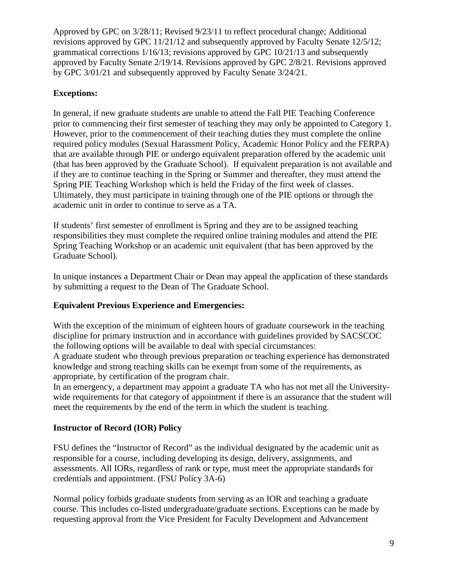# **Exceptions:**

In general, if new graduate students are unable to attend the Fall PIE Teaching Conference prior to commencing their first semester of teaching they may only be appointed to Category 1. However, prior to the commencement of their teaching duties they must complete the online required policy modules (Sexual Harassment Policy, Academic Honor Policy and the FERPA) that are available through PIE or undergo equivalent preparation offered by the academic unit (that has been approved by the Graduate School). If equivalent preparation is not available and if they are to continue teaching in the Spring or Summer and thereafter, they must attend the Spring PIE Teaching Workshop which is held the Friday of the first week of classes. Ultimately, they must participate in training through one of the PIE options or through the academic unit in order to continue to serve as a TA.

If students' first semester of enrollment is Spring and they are to be assigned teaching responsibilities they must complete the required online training modules and attend the PIE Spring Teaching Workshop or an academic unit equivalent (that has been approved by the Graduate School).

In unique instances a Department Chair or Dean may appeal the application of these standards by submitting a request to the Dean of The Graduate School.

### **Equivalent Previous Experience and Emergencies:**

With the exception of the minimum of eighteen hours of graduate coursework in the teaching discipline for primary instruction and in accordance with guidelines provided by SACSCOC the following options will be available to deal with special circumstances:

A graduate student who through previous preparation or teaching experience has demonstrated knowledge and strong teaching skills can be exempt from some of the requirements, as appropriate, by certification of the program chair.

In an emergency, a department may appoint a graduate TA who has not met all the Universitywide requirements for that category of appointment if there is an assurance that the student will meet the requirements by the end of the term in which the student is teaching.

### **Instructor of Record (IOR) Policy**

FSU defines the "Instructor of Record" as the individual designated by the academic unit as responsible for a course, including developing its design, delivery, assignments, and assessments. All IORs, regardless of rank or type, must meet the appropriate standards for credentials and appointment. (FSU Policy 3A-6)

Normal policy forbids graduate students from serving as an IOR and teaching a graduate course. This includes co-listed undergraduate/graduate sections. Exceptions can be made by requesting approval from the Vice President for Faculty Development and Advancement